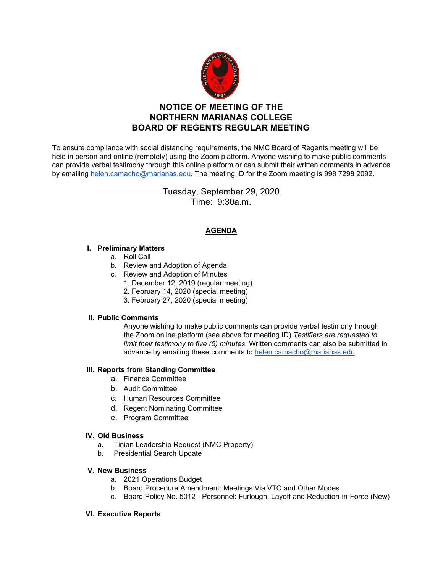

# **NOTICE OF MEETING OF THE NORTHERN MARIANAS COLLEGE BOARD OF REGENTS REGULAR MEETING**

To ensure compliance with social distancing requirements, the NMC Board of Regents meeting will be held in person and online (remotely) using the Zoom platform. Anyone wishing to make public comments can provide verbal testimony through this online platform or can submit their written comments in advance by emailing [helen.camacho@marianas.edu.](mailto:helen.camacho@marianas.edu) The meeting ID for the Zoom meeting is 998 7298 2092.

> Tuesday, September 29, 2020 Time: 9:30a.m.

# **AGENDA**

# **I. Preliminary Matters**

- a. Roll Call
- b. Review and Adoption of Agenda
- c. Review and Adoption of Minutes
	- 1. December 12, 2019 (regular meeting)
	- 2. February 14, 2020 (special meeting)
	- 3. February 27, 2020 (special meeting)

# **II. Public Comments**

Anyone wishing to make public comments can provide verbal testimony through the Zoom online platform (see above for meeting ID) *Testifiers are requested to limit their testimony to five (5) minutes.* Written comments can also be submitted in advance by emailing these comments to [helen.camacho@marianas.edu](mailto:helen.camacho@marianas.edu).

# **III. Reports from Standing Committee**

- a. Finance Committee
- b. Audit Committee
- c. Human Resources Committee
- d. Regent Nominating Committee
- e. Program Committee

# **IV. Old Business**

- a. Tinian Leadership Request (NMC Property)
- b. Presidential Search Update

# **V. New Business**

- a. 2021 Operations Budget
- b. Board Procedure Amendment: Meetings Via VTC and Other Modes
- c. Board Policy No. 5012 Personnel: Furlough, Layoff and Reduction-in-Force (New)

# **VI. Executive Reports**